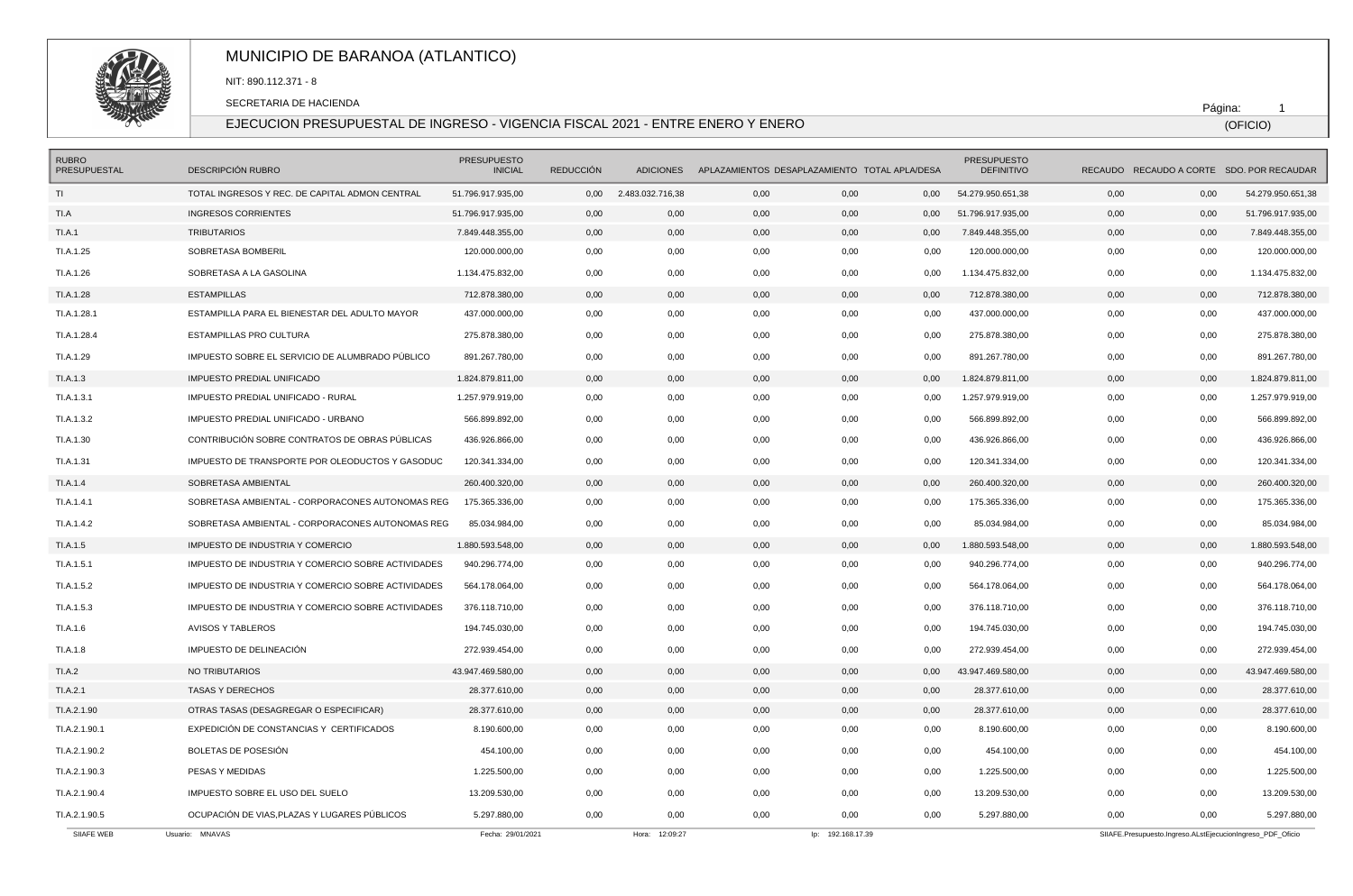

# MUNICIPIO DE BARANOA (ATLANTICO)

NIT: 890.112.371 - 8

SECRETARIA DE HACIENDA

### EJECUCION PRESUPUESTAL DE INGRESO - VIGENCIA FISCAL 2021 - ENTRE ENERO Y ENERO

Página: 1

(OFICIO)

| <b>RUBRO</b><br><b>PRESUPUESTAL</b> | DESCRIPCIÓN RUBRO                                  | <b>PRESUPUESTO</b><br><b>INICIAL</b> | <b>REDUCCIÓN</b> | <b>ADICIONES</b> |      | APLAZAMIENTOS DESAPLAZAMIENTO TOTAL APLA/DESA |      | <b>PRESUPUESTO</b><br><b>DEFINITIVO</b> |      |                                                            | RECAUDO RECAUDO A CORTE SDO, POR RECAUDAR |
|-------------------------------------|----------------------------------------------------|--------------------------------------|------------------|------------------|------|-----------------------------------------------|------|-----------------------------------------|------|------------------------------------------------------------|-------------------------------------------|
| TI                                  | TOTAL INGRESOS Y REC. DE CAPITAL ADMON CENTRAL     | 51.796.917.935,00                    | 0,00             | 2.483.032.716,38 | 0,00 | 0,00                                          | 0,00 | 54.279.950.651,38                       | 0,00 | 0,00                                                       | 54.279.950.651,38                         |
| TI.A                                | <b>INGRESOS CORRIENTES</b>                         | 51.796.917.935,00                    | 0,00             | 0,00             | 0,00 | 0,00                                          | 0,00 | 51.796.917.935,00                       | 0,00 | 0,00                                                       | 51.796.917.935,00                         |
| TI.A.1                              | <b>TRIBUTARIOS</b>                                 | 7.849.448.355,00                     | 0,00             | 0,00             | 0,00 | 0,00                                          | 0,00 | 7.849.448.355,00                        | 0,00 | 0,00                                                       | 7.849.448.355,00                          |
| TI.A.1.25                           | SOBRETASA BOMBERIL                                 | 120.000.000,00                       | 0,00             | 0,00             | 0,00 | 0,00                                          | 0,00 | 120.000.000,00                          | 0,00 | 0,00                                                       | 120.000.000,00                            |
| TI.A.1.26                           | SOBRETASA A LA GASOLINA                            | 1.134.475.832,00                     | 0,00             | 0,00             | 0,00 | 0,00                                          | 0,00 | 1.134.475.832,00                        | 0,00 | 0,00                                                       | 1.134.475.832,00                          |
| TI.A.1.28                           | <b>ESTAMPILLAS</b>                                 | 712.878.380,00                       | 0,00             | 0,00             | 0,00 | 0,00                                          | 0,00 | 712.878.380,00                          | 0,00 | 0,00                                                       | 712.878.380,00                            |
| TI.A.1.28.1                         | ESTAMPILLA PARA EL BIENESTAR DEL ADULTO MAYOR      | 437.000.000,00                       | 0,00             | 0,00             | 0,00 | 0,00                                          | 0,00 | 437.000.000,00                          | 0,00 | 0,00                                                       | 437.000.000,00                            |
| TI.A.1.28.4                         | ESTAMPILLAS PRO CULTURA                            | 275.878.380,00                       | 0,00             | 0,00             | 0,00 | 0,00                                          | 0,00 | 275.878.380,00                          | 0,00 | 0,00                                                       | 275.878.380,00                            |
| TI.A.1.29                           | IMPUESTO SOBRE EL SERVICIO DE ALUMBRADO PÚBLICO    | 891.267.780,00                       | 0,00             | 0,00             | 0,00 | 0,00                                          | 0,00 | 891.267.780,00                          | 0,00 | 0,00                                                       | 891.267.780,00                            |
| TI.A.1.3                            | <b>IMPUESTO PREDIAL UNIFICADO</b>                  | 1.824.879.811,00                     | 0,00             | 0,00             | 0,00 | 0,00                                          | 0,00 | 1.824.879.811,00                        | 0,00 | 0,00                                                       | 1.824.879.811,00                          |
| TI.A.1.3.1                          | IMPUESTO PREDIAL UNIFICADO - RURAL                 | 1.257.979.919,00                     | 0,00             | 0,00             | 0,00 | 0,00                                          | 0,00 | 1.257.979.919,00                        | 0,00 | 0,00                                                       | 1.257.979.919,00                          |
| TI.A.1.3.2                          | IMPUESTO PREDIAL UNIFICADO - URBANO                | 566.899.892,00                       | 0,00             | 0,00             | 0,00 | 0,00                                          | 0,00 | 566.899.892,00                          | 0,00 | 0,00                                                       | 566.899.892,00                            |
| TI.A.1.30                           | CONTRIBUCIÓN SOBRE CONTRATOS DE OBRAS PÚBLICAS     | 436.926.866,00                       | 0,00             | 0,00             | 0,00 | 0,00                                          | 0,00 | 436.926.866,00                          | 0,00 | 0,00                                                       | 436.926.866,00                            |
| TI.A.1.31                           | IMPUESTO DE TRANSPORTE POR OLEODUCTOS Y GASODUC    | 120.341.334,00                       | 0,00             | 0,00             | 0,00 | 0,00                                          | 0,00 | 120.341.334,00                          | 0,00 | 0,00                                                       | 120.341.334,00                            |
| TI.A.1.4                            | SOBRETASA AMBIENTAL                                | 260.400.320,00                       | 0,00             | 0,00             | 0,00 | 0,00                                          | 0,00 | 260.400.320,00                          | 0,00 | 0,00                                                       | 260.400.320,00                            |
| TI.A.1.4.1                          | SOBRETASA AMBIENTAL - CORPORACONES AUTONOMAS REG   | 175.365.336.00                       | 0,00             | 0,00             | 0,00 | 0,00                                          | 0,00 | 175.365.336,00                          | 0,00 | 0,00                                                       | 175.365.336,00                            |
| TI.A.1.4.2                          | SOBRETASA AMBIENTAL - CORPORACONES AUTONOMAS REG   | 85.034.984,00                        | 0,00             | 0,00             | 0,00 | 0,00                                          | 0,00 | 85.034.984,00                           | 0,00 | 0,00                                                       | 85.034.984,00                             |
| TI.A.1.5                            | IMPUESTO DE INDUSTRIA Y COMERCIO                   | 1.880.593.548,00                     | 0,00             | 0,00             | 0,00 | 0,00                                          | 0,00 | 1.880.593.548,00                        | 0,00 | 0,00                                                       | 1.880.593.548,00                          |
| TI.A.1.5.1                          | IMPUESTO DE INDUSTRIA Y COMERCIO SOBRE ACTIVIDADES | 940.296.774,00                       | 0,00             | 0,00             | 0,00 | 0,00                                          | 0,00 | 940.296.774,00                          | 0,00 | 0,00                                                       | 940.296.774,00                            |
| TI.A.1.5.2                          | IMPUESTO DE INDUSTRIA Y COMERCIO SOBRE ACTIVIDADES | 564.178.064,00                       | 0,00             | 0,00             | 0,00 | 0,00                                          | 0,00 | 564.178.064,00                          | 0,00 | 0,00                                                       | 564.178.064,00                            |
| TI.A.1.5.3                          | IMPUESTO DE INDUSTRIA Y COMERCIO SOBRE ACTIVIDADES | 376.118.710,00                       | 0,00             | 0,00             | 0,00 | 0,00                                          | 0,00 | 376.118.710,00                          | 0,00 | 0,00                                                       | 376.118.710,00                            |
| TI.A.1.6                            | <b>AVISOS Y TABLEROS</b>                           | 194.745.030,00                       | 0,00             | 0,00             | 0,00 | 0,00                                          | 0,00 | 194.745.030,00                          | 0,00 | 0,00                                                       | 194.745.030,00                            |
| TI.A.1.8                            | IMPUESTO DE DELINEACIÓN                            | 272.939.454,00                       | 0,00             | 0,00             | 0,00 | 0,00                                          | 0,00 | 272.939.454,00                          | 0,00 | 0,00                                                       | 272.939.454,00                            |
| TI.A.2                              | NO TRIBUTARIOS                                     | 43.947.469.580,00                    | 0,00             | 0,00             | 0,00 | 0,00                                          | 0,00 | 43.947.469.580,00                       | 0,00 | 0,00                                                       | 43.947.469.580,00                         |
| TI.A.2.1                            | <b>TASAS Y DERECHOS</b>                            | 28.377.610,00                        | 0,00             | 0,00             | 0,00 | 0,00                                          | 0,00 | 28.377.610,00                           | 0,00 | 0,00                                                       | 28.377.610,00                             |
| TI.A.2.1.90                         | OTRAS TASAS (DESAGREGAR O ESPECIFICAR)             | 28.377.610,00                        | 0,00             | 0,00             | 0,00 | 0,00                                          | 0,00 | 28.377.610,00                           | 0,00 | 0,00                                                       | 28.377.610,00                             |
| TI.A.2.1.90.1                       | EXPEDICIÓN DE CONSTANCIAS Y CERTIFICADOS           | 8.190.600,00                         | 0,00             | 0,00             | 0,00 | 0,00                                          | 0,00 | 8.190.600,00                            | 0,00 | 0,00                                                       | 8.190.600,00                              |
| TI.A.2.1.90.2                       | BOLETAS DE POSESIÓN                                | 454.100,00                           | 0,00             | 0,00             | 0,00 | 0,00                                          | 0,00 | 454.100,00                              | 0,00 | 0,00                                                       | 454.100,00                                |
| TI.A.2.1.90.3                       | PESAS Y MEDIDAS                                    | 1.225.500,00                         | 0,00             | 0,00             | 0,00 | 0,00                                          | 0,00 | 1.225.500,00                            | 0,00 | 0,00                                                       | 1.225.500,00                              |
| TI.A.2.1.90.4                       | IMPUESTO SOBRE EL USO DEL SUELO                    | 13.209.530,00                        | 0,00             | 0,00             | 0,00 | 0,00                                          | 0,00 | 13.209.530,00                           | 0,00 | 0,00                                                       | 13.209.530,00                             |
| TI.A.2.1.90.5                       | OCUPACIÓN DE VIAS, PLAZAS Y LUGARES PÚBLICOS       | 5.297.880,00                         | 0.00             | 0.00             | 0.00 | 0.00                                          | 0,00 | 5.297.880,00                            | 0,00 | 0.00                                                       | 5.297.880,00                              |
| SIIAFE WEB                          | Usuario: MNAVAS                                    | Fecha: 29/01/2021                    |                  | Hora: 12:09:27   |      | lp: 192.168.17.39                             |      |                                         |      | SIIAFE.Presupuesto.Ingreso.ALstEjecucionIngreso PDF Oficio |                                           |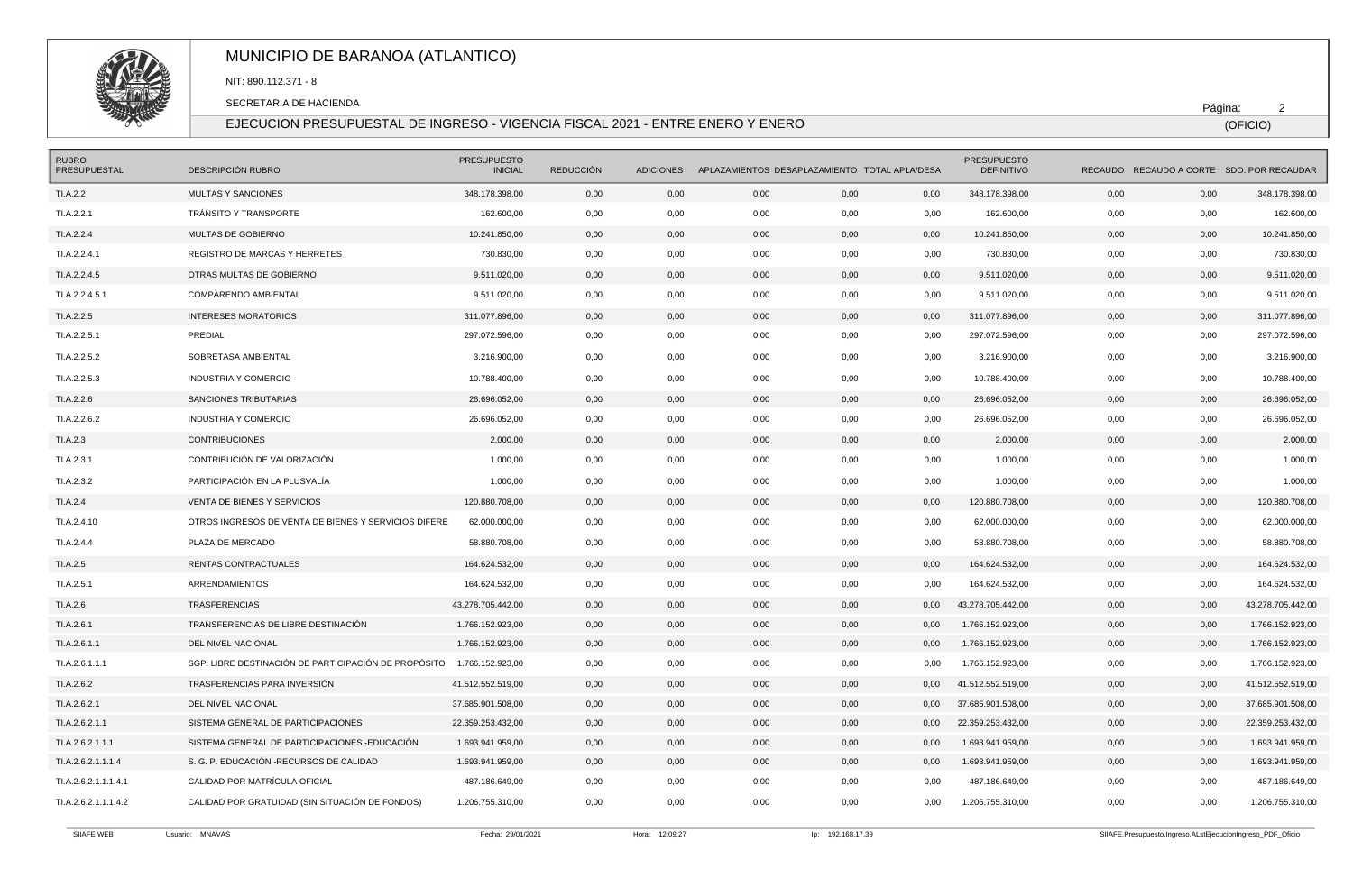

# MUNICIPIO DE BARANOA (ATLANTICO)

NIT: 890.112.371 - 8

SECRETARIA DE HACIENDA

#### EJECUCION PRESUPUESTAL DE INGRESO - VIGENCIA FISCAL 2021 - ENTRE ENERO Y ENERO

Página: 2

(OFICIO)

| <b>RUBRO</b><br>PRESUPUESTAL | DESCRIPCIÓN RUBRO                                    | <b>PRESUPUESTO</b><br><b>INICIAL</b> | <b>REDUCCIÓN</b> |                |      | ADICIONES APLAZAMIENTOS DESAPLAZAMIENTO TOTAL APLA/DESA |      | <b>PRESUPUESTO</b><br><b>DEFINITIVO</b> |      | RECAUDO RECAUDO A CORTE SDO. POR RECAUDAR                  |                   |
|------------------------------|------------------------------------------------------|--------------------------------------|------------------|----------------|------|---------------------------------------------------------|------|-----------------------------------------|------|------------------------------------------------------------|-------------------|
| TI.A.2.2                     | MULTAS Y SANCIONES                                   | 348.178.398,00                       | 0,00             | 0,00           | 0,00 | 0,00                                                    | 0,00 | 348.178.398,00                          | 0,00 | 0,00                                                       | 348.178.398,00    |
| TI.A.2.2.1                   | TRÁNSITO Y TRANSPORTE                                | 162.600,00                           | 0,00             | 0,00           | 0,00 | 0,00                                                    | 0,00 | 162.600,00                              | 0,00 | 0,00                                                       | 162.600,00        |
| TI.A.2.2.4                   | MULTAS DE GOBIERNO                                   | 10.241.850,00                        | 0,00             | 0,00           | 0,00 | 0,00                                                    | 0,00 | 10.241.850,00                           | 0,00 | 0,00                                                       | 10.241.850,00     |
| TI.A.2.2.4.1                 | REGISTRO DE MARCAS Y HERRETES                        | 730.830,00                           | 0,00             | 0,00           | 0,00 | 0,00                                                    | 0,00 | 730.830,00                              | 0,00 | 0,00                                                       | 730.830,00        |
| TI.A.2.2.4.5                 | OTRAS MULTAS DE GOBIERNO                             | 9.511.020.00                         | 0,00             | 0,00           | 0,00 | 0,00                                                    | 0,00 | 9.511.020.00                            | 0,00 | 0,00                                                       | 9.511.020.00      |
| TI.A.2.2.4.5.1               | COMPARENDO AMBIENTAL                                 | 9.511.020,00                         | 0,00             | 0,00           | 0,00 | 0,00                                                    | 0,00 | 9.511.020,00                            | 0,00 | 0,00                                                       | 9.511.020,00      |
| TI.A.2.2.5                   | <b>INTERESES MORATORIOS</b>                          | 311.077.896,00                       | 0,00             | 0,00           | 0,00 | 0,00                                                    | 0,00 | 311.077.896,00                          | 0,00 | 0,00                                                       | 311.077.896,00    |
| TI.A.2.2.5.1                 | PREDIAL                                              | 297.072.596,00                       | 0,00             | 0,00           | 0,00 | 0,00                                                    | 0,00 | 297.072.596,00                          | 0,00 | 0,00                                                       | 297.072.596,00    |
| TI.A.2.2.5.2                 | SOBRETASA AMBIENTAL                                  | 3.216.900,00                         | 0,00             | 0,00           | 0,00 | 0,00                                                    | 0,00 | 3.216.900,00                            | 0,00 | 0,00                                                       | 3.216.900,00      |
| TI.A.2.2.5.3                 | <b>INDUSTRIA Y COMERCIO</b>                          | 10.788.400,00                        | 0,00             | 0,00           | 0,00 | 0,00                                                    | 0,00 | 10.788.400,00                           | 0,00 | 0,00                                                       | 10.788.400,00     |
| TI.A.2.2.6                   | SANCIONES TRIBUTARIAS                                | 26.696.052,00                        | 0,00             | 0,00           | 0,00 | 0,00                                                    | 0,00 | 26.696.052,00                           | 0,00 | 0,00                                                       | 26.696.052,00     |
| TI.A.2.2.6.2                 | <b>INDUSTRIA Y COMERCIO</b>                          | 26.696.052,00                        | 0,00             | 0,00           | 0,00 | 0,00                                                    | 0,00 | 26.696.052,00                           | 0,00 | 0,00                                                       | 26.696.052,00     |
| TI.A.2.3                     | <b>CONTRIBUCIONES</b>                                | 2.000,00                             | 0,00             | 0,00           | 0,00 | 0,00                                                    | 0,00 | 2.000,00                                | 0,00 | 0,00                                                       | 2.000,00          |
| TI.A.2.3.1                   | CONTRIBUCIÓN DE VALORIZACIÓN                         | 1.000,00                             | 0,00             | 0,00           | 0,00 | 0,00                                                    | 0,00 | 1.000,00                                | 0,00 | 0,00                                                       | 1.000,00          |
| TI.A.2.3.2                   | PARTICIPACIÓN EN LA PLUSVALÍA                        | 1.000,00                             | 0,00             | 0,00           | 0,00 | 0,00                                                    | 0,00 | 1.000,00                                | 0,00 | 0,00                                                       | 1.000,00          |
| TI.A.2.4                     | VENTA DE BIENES Y SERVICIOS                          | 120.880.708,00                       | 0,00             | 0,00           | 0,00 | 0,00                                                    | 0,00 | 120.880.708,00                          | 0,00 | 0,00                                                       | 120.880.708,00    |
| TI.A.2.4.10                  | OTROS INGRESOS DE VENTA DE BIENES Y SERVICIOS DIFERE | 62.000.000,00                        | 0,00             | 0,00           | 0,00 | 0,00                                                    | 0,00 | 62.000.000,00                           | 0,00 | 0,00                                                       | 62.000.000,00     |
| TI.A.2.4.4                   | PLAZA DE MERCADO                                     | 58.880.708,00                        | 0,00             | 0,00           | 0,00 | 0,00                                                    | 0,00 | 58.880.708,00                           | 0,00 | 0,00                                                       | 58.880.708,00     |
| TI.A.2.5                     | RENTAS CONTRACTUALES                                 | 164.624.532,00                       | 0,00             | 0,00           | 0,00 | 0,00                                                    | 0,00 | 164.624.532,00                          | 0,00 | 0,00                                                       | 164.624.532,00    |
| TI.A.2.5.1                   | <b>ARRENDAMIENTOS</b>                                | 164.624.532,00                       | 0,00             | 0,00           | 0,00 | 0,00                                                    | 0,00 | 164.624.532,00                          | 0,00 | 0,00                                                       | 164.624.532,00    |
| TI.A.2.6                     | <b>TRASFERENCIAS</b>                                 | 43.278.705.442,00                    | 0,00             | 0,00           | 0,00 | 0,00                                                    | 0.00 | 43.278.705.442.00                       | 0,00 | 0,00                                                       | 43.278.705.442,00 |
| TI.A.2.6.1                   | TRANSFERENCIAS DE LIBRE DESTINACIÓN                  | 1.766.152.923,00                     | 0,00             | 0,00           | 0,00 | 0,00                                                    | 0,00 | 1.766.152.923,00                        | 0,00 | 0,00                                                       | 1.766.152.923,00  |
| TI.A.2.6.1.1                 | DEL NIVEL NACIONAL                                   | 1.766.152.923,00                     | 0,00             | 0,00           | 0,00 | 0,00                                                    | 0,00 | 1.766.152.923,00                        | 0,00 | 0,00                                                       | 1.766.152.923,00  |
| TI.A.2.6.1.1.1               | SGP: LIBRE DESTINACIÓN DE PARTICIPACIÓN DE PROPÓSITO | 1.766.152.923,00                     | 0,00             | 0,00           | 0,00 | 0,00                                                    | 0,00 | 1.766.152.923,00                        | 0,00 | 0,00                                                       | 1.766.152.923,00  |
| TI.A.2.6.2                   | TRASFERENCIAS PARA INVERSIÓN                         | 41.512.552.519,00                    | 0,00             | 0,00           | 0,00 | 0,00                                                    | 0,00 | 41.512.552.519,00                       | 0,00 | 0,00                                                       | 41.512.552.519,00 |
| TI.A.2.6.2.1                 | DEL NIVEL NACIONAL                                   | 37.685.901.508,00                    | 0,00             | 0,00           | 0,00 | 0,00                                                    | 0,00 | 37.685.901.508,00                       | 0,00 | 0,00                                                       | 37.685.901.508,00 |
| TI.A.2.6.2.1.1               | SISTEMA GENERAL DE PARTICIPACIONES                   | 22.359.253.432,00                    | 0,00             | 0,00           | 0,00 | 0,00                                                    | 0,00 | 22.359.253.432,00                       | 0,00 | 0,00                                                       | 22.359.253.432,00 |
| TI.A.2.6.2.1.1.1             | SISTEMA GENERAL DE PARTICIPACIONES -EDUCACIÓN        | 1.693.941.959,00                     | 0,00             | 0,00           | 0,00 | 0,00                                                    | 0,00 | 1.693.941.959,00                        | 0,00 | 0,00                                                       | 1.693.941.959,00  |
| TI.A.2.6.2.1.1.1.4           | S. G. P. EDUCACIÓN -RECURSOS DE CALIDAD              | 1.693.941.959,00                     | 0,00             | 0,00           | 0,00 | 0,00                                                    | 0,00 | 1.693.941.959,00                        | 0,00 | 0,00                                                       | 1.693.941.959,00  |
| TI.A.2.6.2.1.1.1.4.1         | CALIDAD POR MATRÍCULA OFICIAL                        | 487.186.649,00                       | 0,00             | 0,00           | 0,00 | 0,00                                                    | 0,00 | 487.186.649,00                          | 0,00 | 0,00                                                       | 487.186.649,00    |
| TI.A.2.6.2.1.1.1.4.2         | CALIDAD POR GRATUIDAD (SIN SITUACIÓN DE FONDOS)      | 1.206.755.310,00                     | 0,00             | 0,00           | 0,00 | 0,00                                                    | 0,00 | 1.206.755.310,00                        | 0,00 | 0,00                                                       | 1.206.755.310,00  |
| SIIAFE WEB                   | Usuario: MNAVAS                                      | Fecha: 29/01/2021                    |                  | Hora: 12:09:27 |      | lp: 192.168.17.39                                       |      |                                         |      | SIIAFE.Presupuesto.Ingreso.ALstEjecucionIngreso_PDF_Oficio |                   |